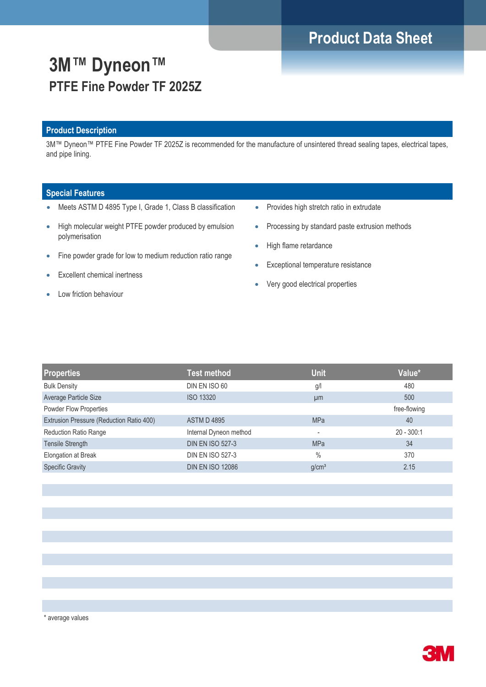# **Product Data Sheet**

# **3M™ Dyneon™ PTFE Fine Powder TF 2025Z**

### **Product Description**

3M™ Dyneon™ PTFE Fine Powder TF 2025Z is recommended for the manufacture of unsintered thread sealing tapes, electrical tapes, and pipe lining.

### **Special Features**

- Meets ASTM D 4895 Type I, Grade 1, Class B classification
- High molecular weight PTFE powder produced by emulsion polymerisation
- Fine powder grade for low to medium reduction ratio range
- Excellent chemical inertness
- Low friction behaviour
- Provides high stretch ratio in extrudate
- Processing by standard paste extrusion methods
- High flame retardance
- **Exceptional temperature resistance**
- Very good electrical properties

| <b>Properties</b>                        | <b>Test method</b>      | <b>Unit</b>       | Value*       |
|------------------------------------------|-------------------------|-------------------|--------------|
| <b>Bulk Density</b>                      | DIN EN ISO 60           | g/l               | 480          |
| Average Particle Size                    | <b>ISO 13320</b>        | µm                | 500          |
| Powder Flow Properties                   |                         |                   | free-flowing |
| Extrusion Pressure (Reduction Ratio 400) | <b>ASTM D 4895</b>      | <b>MPa</b>        | 40           |
| <b>Reduction Ratio Range</b>             | Internal Dyneon method  | ٠                 | $20 - 300:1$ |
| <b>Tensile Strength</b>                  | <b>DIN EN ISO 527-3</b> | <b>MPa</b>        | 34           |
| Elongation at Break                      | <b>DIN EN ISO 527-3</b> | $\frac{0}{0}$     | 370          |
| <b>Specific Gravity</b>                  | <b>DIN EN ISO 12086</b> | g/cm <sup>3</sup> | 2.15         |
|                                          |                         |                   |              |



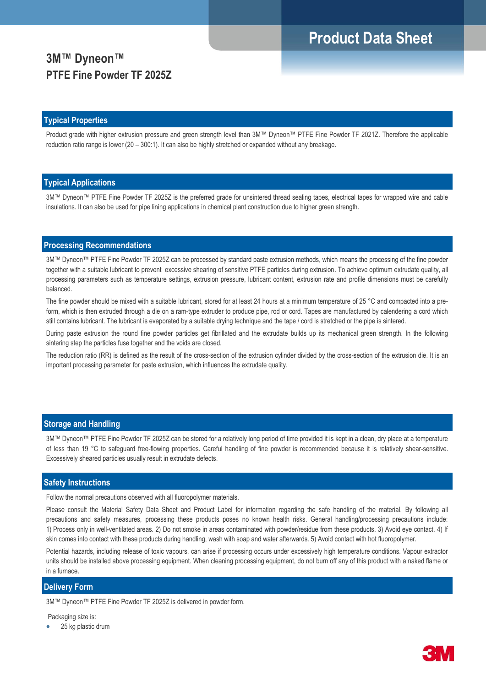# **Product Data Sheet**

## **3M™ Dyneon™ PTFE Fine Powder TF 2025Z**

#### **Typical Properties**

Product grade with higher extrusion pressure and green strength level than 3M™ Dyneon™ PTFE Fine Powder TF 2021Z. Therefore the applicable reduction ratio range is lower (20 – 300:1). It can also be highly stretched or expanded without any breakage.

#### **Typical Applications**

3M™ Dyneon™ PTFE Fine Powder TF 2025Z is the preferred grade for unsintered thread sealing tapes, electrical tapes for wrapped wire and cable insulations. It can also be used for pipe lining applications in chemical plant construction due to higher green strength.

### **Processing Recommendations**

3M™ Dyneon™ PTFE Fine Powder TF 2025Z can be processed by standard paste extrusion methods, which means the processing of the fine powder together with a suitable lubricant to prevent excessive shearing of sensitive PTFE particles during extrusion. To achieve optimum extrudate quality, all processing parameters such as temperature settings, extrusion pressure, lubricant content, extrusion rate and profile dimensions must be carefully balanced.

The fine powder should be mixed with a suitable lubricant, stored for at least 24 hours at a minimum temperature of 25 °C and compacted into a preform, which is then extruded through a die on a ram-type extruder to produce pipe, rod or cord. Tapes are manufactured by calendering a cord which still contains lubricant. The lubricant is evaporated by a suitable drying technique and the tape / cord is stretched or the pipe is sintered.

During paste extrusion the round fine powder particles get fibrillated and the extrudate builds up its mechanical green strength. In the following sintering step the particles fuse together and the voids are closed.

The reduction ratio (RR) is defined as the result of the cross-section of the extrusion cylinder divided by the cross-section of the extrusion die. It is an important processing parameter for paste extrusion, which influences the extrudate quality.

#### **Storage and Handling**

3M™ Dyneon™ PTFE Fine Powder TF 2025Z can be stored for a relatively long period of time provided it is kept in a clean, dry place at a temperature of less than 19 °C to safeguard free-flowing properties. Careful handling of fine powder is recommended because it is relatively shear-sensitive. Excessively sheared particles usually result in extrudate defects.

#### **Safety Instructions**

Follow the normal precautions observed with all fluoropolymer materials.

Please consult the Material Safety Data Sheet and Product Label for information regarding the safe handling of the material. By following all precautions and safety measures, processing these products poses no known health risks. General handling/processing precautions include: 1) Process only in well-ventilated areas. 2) Do not smoke in areas contaminated with powder/residue from these products. 3) Avoid eye contact. 4) If skin comes into contact with these products during handling, wash with soap and water afterwards. 5) Avoid contact with hot fluoropolymer.

Potential hazards, including release of toxic vapours, can arise if processing occurs under excessively high temperature conditions. Vapour extractor units should be installed above processing equipment. When cleaning processing equipment, do not burn off any of this product with a naked flame or in a furnace.

#### **Delivery Form**

3M™ Dyneon™ PTFE Fine Powder TF 2025Z is delivered in powder form.

#### Packaging size is:

25 kg plastic drum